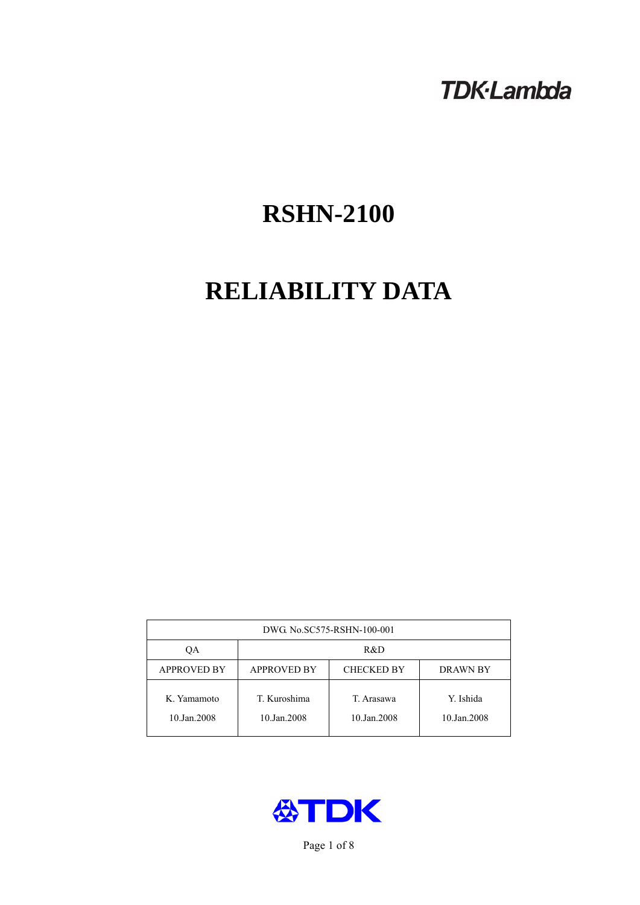# **TDK-Lambda**

# **RSHN-2100**

# **RELIABILITY DATA**

| DWG. No.SC575-RSHN-100-001 |                                                            |                           |                          |  |  |
|----------------------------|------------------------------------------------------------|---------------------------|--------------------------|--|--|
| QA                         | R&D                                                        |                           |                          |  |  |
| <b>APPROVED BY</b>         | <b>APPROVED BY</b><br><b>CHECKED BY</b><br><b>DRAWN BY</b> |                           |                          |  |  |
| K. Yamamoto<br>10.Jan.2008 | T. Kuroshima<br>10.Jan.2008                                | T. Arasawa<br>10.Jan.2008 | Y. Ishida<br>10.Jan.2008 |  |  |



Page 1 of 8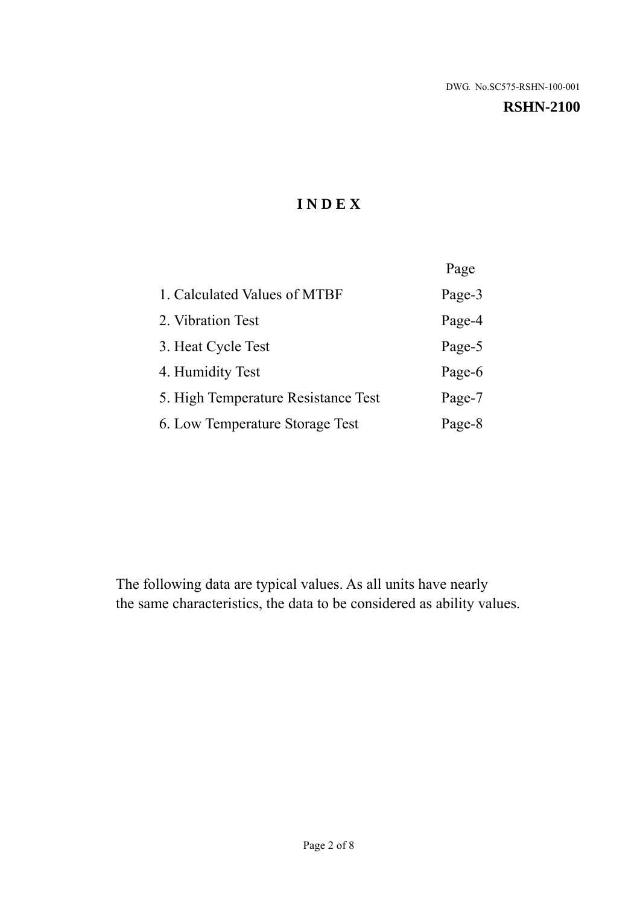#### **RSHN-2100**

# **I N D E X**

|                                     | Page   |
|-------------------------------------|--------|
| 1. Calculated Values of MTBF        | Page-3 |
| 2. Vibration Test                   | Page-4 |
| 3. Heat Cycle Test                  | Page-5 |
| 4. Humidity Test                    | Page-6 |
| 5. High Temperature Resistance Test | Page-7 |
| 6. Low Temperature Storage Test     | Page-8 |

The following data are typical values. As all units have nearly the same characteristics, the data to be considered as ability values.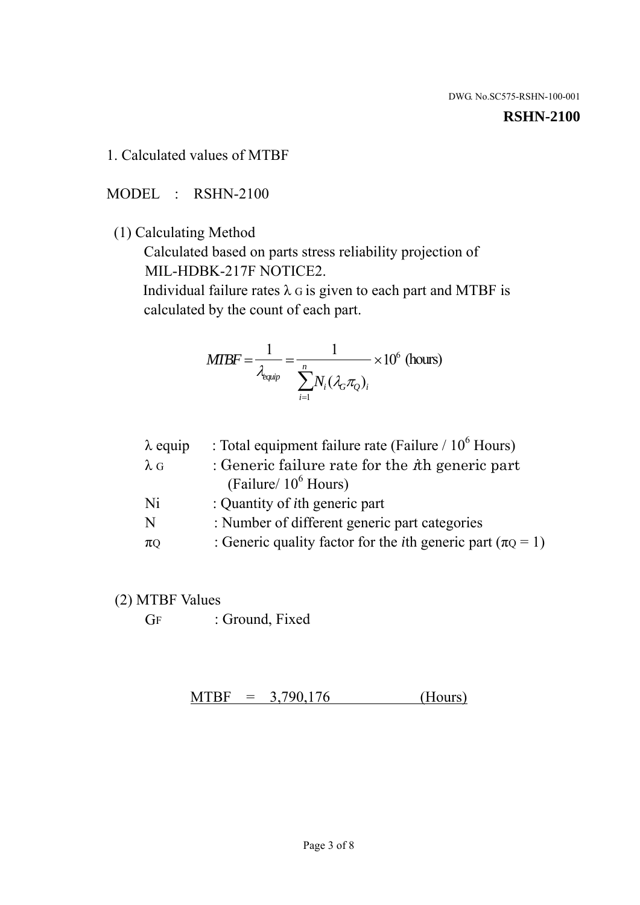#### **RSHN-2100**

1. Calculated values of MTBF

MODEL : RSHN-2100

(1) Calculating Method

 Calculated based on parts stress reliability projection of MIL-HDBK-217F NOTICE2.

Individual failure rates  $\lambda$  G is given to each part and MTBF is calculated by the count of each part.

$$
MIBF = \frac{1}{\lambda_{\text{equip}}} = \frac{1}{\sum_{i=1}^{n} N_i (\lambda_G \pi_Q)_i} \times 10^6 \text{ (hours)}
$$

| : Total equipment failure rate (Failure / $10^6$ Hours)                   |
|---------------------------------------------------------------------------|
| : Generic failure rate for the $\hbar$ generic part                       |
| (Failure/ $10^6$ Hours)                                                   |
| : Quantity of <i>i</i> th generic part                                    |
| : Number of different generic part categories                             |
| : Generic quality factor for the <i>i</i> th generic part ( $\pi Q = 1$ ) |
|                                                                           |

- (2) MTBF Values
	- GF : Ground, Fixed

 $MTBF = 3,790,176$  (Hours)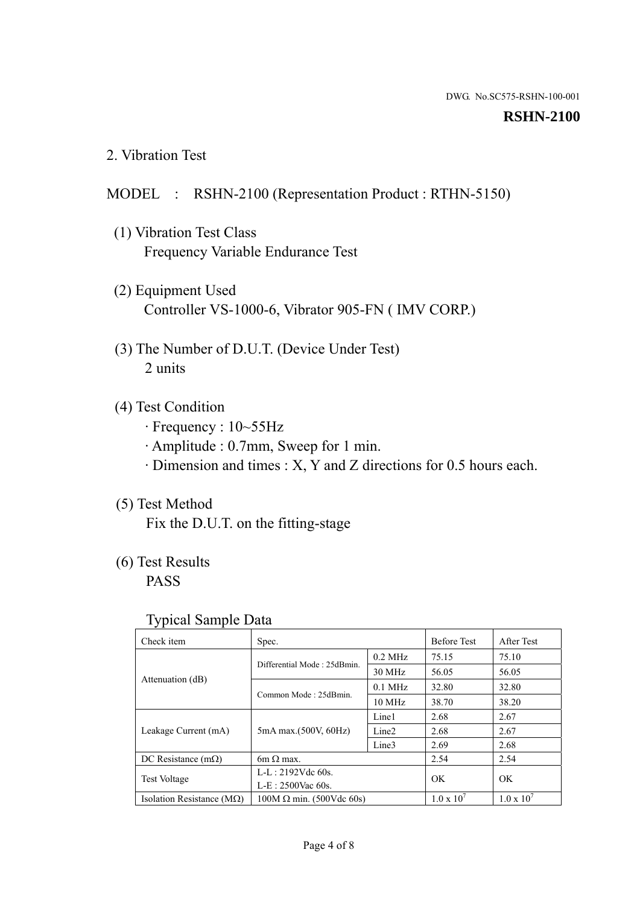#### **RSHN-2100**

2. Vibration Test

# MODEL : RSHN-2100 (Representation Product : RTHN-5150)

- (1) Vibration Test Class Frequency Variable Endurance Test
- (2) Equipment Used Controller VS-1000-6, Vibrator 905-FN ( IMV CORP.)
- (3) The Number of D.U.T. (Device Under Test) 2 units
- (4) Test Condition
	- · Frequency : 10~55Hz
	- · Amplitude : 0.7mm, Sweep for 1 min.
	- · Dimension and times : X, Y and Z directions for 0.5 hours each.

# (5) Test Method

Fix the D.U.T. on the fitting-stage

# (6) Test Results

PASS

#### Typical Sample Data

| Check item                         | Spec.                           |                   | <b>Before Test</b>  | After Test          |
|------------------------------------|---------------------------------|-------------------|---------------------|---------------------|
|                                    | Differential Mode: 25dBmin.     | $0.2$ MHz         | 75.15               | 75.10               |
|                                    |                                 | 30 MHz            | 56.05               | 56.05               |
| Attenuation (dB)                   | Common Mode: 25dBmin.           | $0.1$ MHz         | 32.80               | 32.80               |
|                                    |                                 | $10 \text{ MHz}$  | 38.70               | 38.20               |
| Leakage Current (mA)               | 5mA max.(500V, 60Hz)            | Line1             | 2.68                | 2.67                |
|                                    |                                 | Line <sub>2</sub> | 2.68                | 2.67                |
|                                    |                                 | Line3             | 2.69                | 2.68                |
| DC Resistance $(m\Omega)$          | $6m \Omega$ max.                |                   | 2.54                | 2.54                |
| <b>Test Voltage</b>                | $L-L: 2192Vdc$ 60s.             |                   | OK                  | OK                  |
|                                    | $L-E$ : 2500Vac 60s.            |                   |                     |                     |
| Isolation Resistance ( $M\Omega$ ) | $100M \Omega$ min. (500Vdc 60s) |                   | $1.0 \times 10^{7}$ | $1.0 \times 10^{7}$ |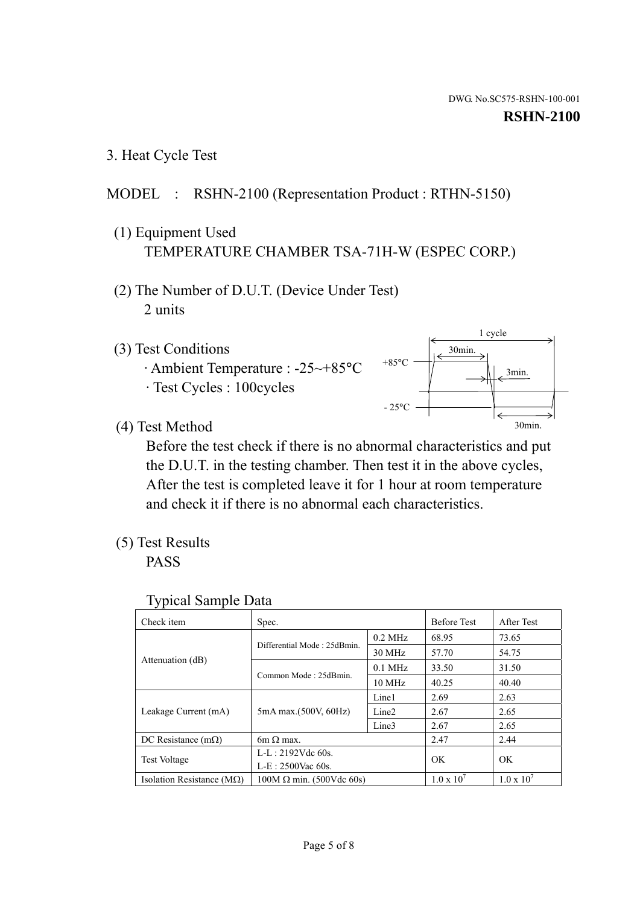1 cycle

30min.

3min.

30min.

3. Heat Cycle Test

# MODEL : RSHN-2100 (Representation Product : RTHN-5150)

- (1) Equipment Used TEMPERATURE CHAMBER TSA-71H-W (ESPEC CORP.)
- (2) The Number of D.U.T. (Device Under Test) 2 units
- (3) Test Conditions
	- · Ambient Temperature : -25~+85°C · Test Cycles : 100cycles
- (4) Test Method

 Before the test check if there is no abnormal characteristics and put the D.U.T. in the testing chamber. Then test it in the above cycles, After the test is completed leave it for 1 hour at room temperature and check it if there is no abnormal each characteristics.

+85°C

 $-25^{\circ}$ C

(5) Test Results

PASS

| <b>Typical Sample Data</b> |  |
|----------------------------|--|
|                            |  |

| Check item                         | Spec.                           |                   | <b>Before Test</b>  | After Test          |
|------------------------------------|---------------------------------|-------------------|---------------------|---------------------|
|                                    | Differential Mode: 25dBmin.     | $0.2$ MHz         | 68.95               | 73.65               |
|                                    |                                 | 30 MHz            | 57.70               | 54.75               |
| Attenuation (dB)                   | Common Mode: 25dBmin.           | $0.1$ MHz         | 33.50               | 31.50               |
|                                    |                                 | $10$ MHz          | 40.25               | 40.40               |
| Leakage Current (mA)               | 5mA max.(500V, 60Hz)            | Line1             | 2.69                | 2.63                |
|                                    |                                 | Line <sub>2</sub> | 2.67                | 2.65                |
|                                    |                                 | Line3             | 2.67                | 2.65                |
| DC Resistance $(m\Omega)$          | 6m $\Omega$ max.                |                   | 2.47                | 2.44                |
| Test Voltage                       | $L-L: 2192Vdc$ 60s.             |                   | OK.                 | OK                  |
|                                    | $L-E: 2500$ Vac 60s.            |                   |                     |                     |
| Isolation Resistance ( $M\Omega$ ) | $100M \Omega$ min. (500Vdc 60s) |                   | $1.0 \times 10^{7}$ | $1.0 \times 10^{7}$ |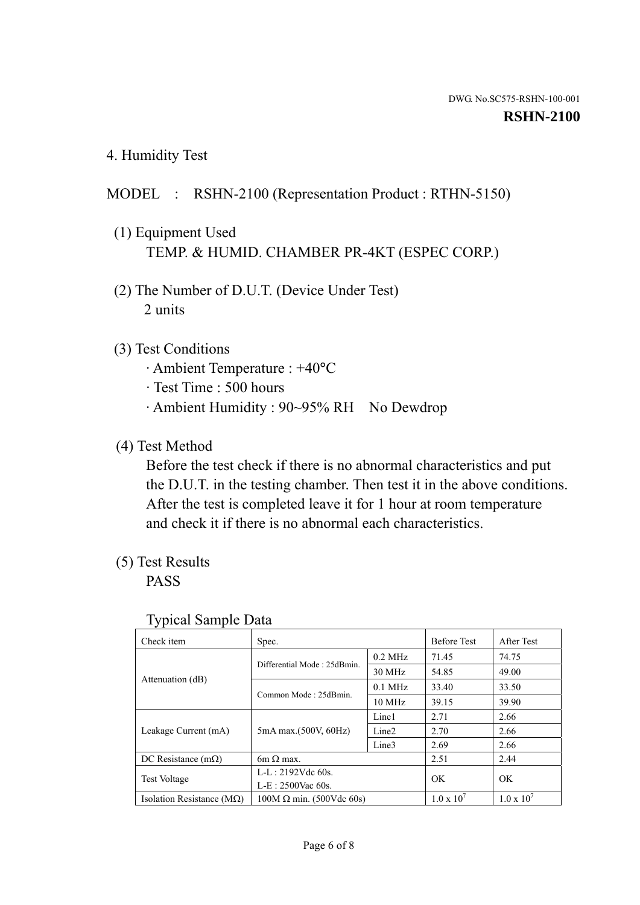4. Humidity Test

# MODEL : RSHN-2100 (Representation Product : RTHN-5150)

- (1) Equipment Used TEMP. & HUMID. CHAMBER PR-4KT (ESPEC CORP.)
- (2) The Number of D.U.T. (Device Under Test) 2 units

### (3) Test Conditions

- · Ambient Temperature : +40°C
- · Test Time : 500 hours
- · Ambient Humidity : 90~95% RH No Dewdrop

# (4) Test Method

 Before the test check if there is no abnormal characteristics and put the D.U.T. in the testing chamber. Then test it in the above conditions. After the test is completed leave it for 1 hour at room temperature and check it if there is no abnormal each characteristics.

# (5) Test Results

PASS

| ັ່<br>Check item                   | Spec.                       |                   | <b>Before Test</b>  | After Test          |
|------------------------------------|-----------------------------|-------------------|---------------------|---------------------|
|                                    | Differential Mode: 25dBmin. | $0.2$ MHz         | 71.45               | 74.75               |
|                                    |                             | 30 MHz            | 54.85               | 49.00               |
| Attenuation (dB)                   | Common Mode: 25dBmin.       | $0.1$ MHz         | 33.40               | 33.50               |
|                                    |                             | $10 \text{ MHz}$  | 39.15               | 39.90               |
| Leakage Current (mA)               | 5mA max.(500V, 60Hz)        | Line1             | 2.71                | 2.66                |
|                                    |                             | Line <sub>2</sub> | 2.70                | 2.66                |
|                                    |                             | Line3             | 2.69                | 2.66                |
| DC Resistance $(m\Omega)$          | $6m \Omega$ max.            |                   | 2.51                | 2.44                |
| Test Voltage                       | $L-L: 2192Vdc$ 60s.         |                   | OK                  | OK.                 |
|                                    | $L-E: 2500$ Vac 60s.        |                   |                     |                     |
| Isolation Resistance ( $M\Omega$ ) | $100M$ Ω min. (500Vdc 60s)  |                   | $1.0 \times 10^{7}$ | $1.0 \times 10^{7}$ |

#### Typical Sample Data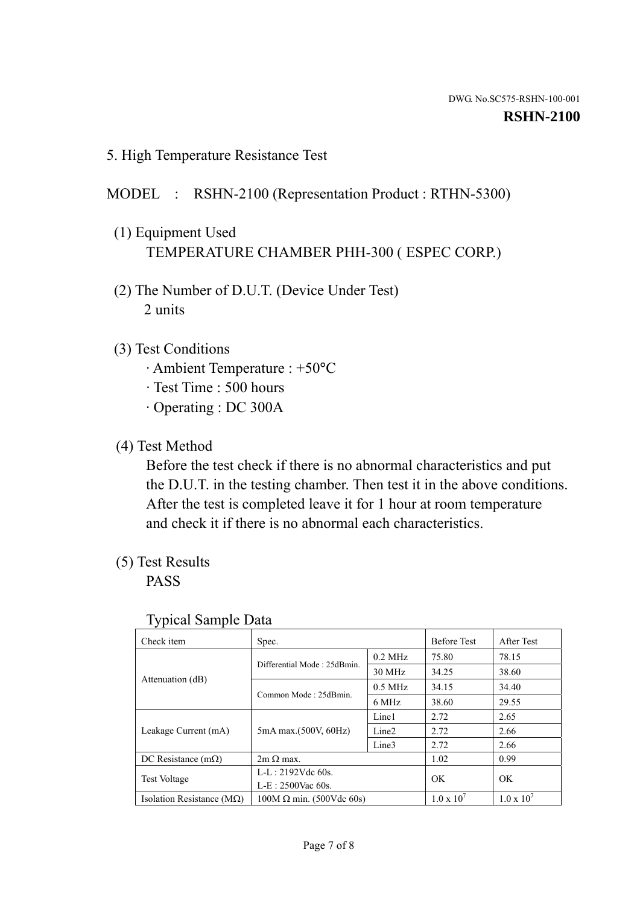5. High Temperature Resistance Test

### MODEL : RSHN-2100 (Representation Product : RTHN-5300)

- (1) Equipment Used TEMPERATURE CHAMBER PHH-300 ( ESPEC CORP.)
- (2) The Number of D.U.T. (Device Under Test) 2 units
- (3) Test Conditions
	- · Ambient Temperature : +50°C
	- · Test Time : 500 hours
	- · Operating : DC 300A
- (4) Test Method

 Before the test check if there is no abnormal characteristics and put the D.U.T. in the testing chamber. Then test it in the above conditions. After the test is completed leave it for 1 hour at room temperature and check it if there is no abnormal each characteristics.

(5) Test Results

PASS

| . .                                |                                 |                   |                     |                     |
|------------------------------------|---------------------------------|-------------------|---------------------|---------------------|
| Check item                         | Spec.                           |                   | <b>Before Test</b>  | After Test          |
|                                    | Differential Mode: 25dBmin.     | $0.2$ MHz         | 75.80               | 78.15               |
|                                    |                                 | 30 MHz            | 34.25               | 38.60               |
| Attenuation (dB)                   | Common Mode: 25dBmin.           | $0.5$ MHz         | 34.15               | 34.40               |
|                                    |                                 | 6 MHz             | 38.60               | 29.55               |
| Leakage Current (mA)               | 5mA max.(500V, 60Hz)            | Line1             | 2.72                | 2.65                |
|                                    |                                 | Line <sub>2</sub> | 2.72                | 2.66                |
|                                    |                                 | Line3             | 2.72                | 2.66                |
| DC Resistance $(m\Omega)$          | $2m \Omega$ max.                |                   | 1.02                | 0.99                |
| <b>Test Voltage</b>                | $L-L: 2192Vdc$ 60s.             |                   | OK.                 | OK.                 |
|                                    | $L-E: 2500$ Vac 60s.            |                   |                     |                     |
| Isolation Resistance ( $M\Omega$ ) | $100M \Omega$ min. (500Vdc 60s) |                   | $1.0 \times 10^{7}$ | $1.0 \times 10^{7}$ |

#### Typical Sample Data